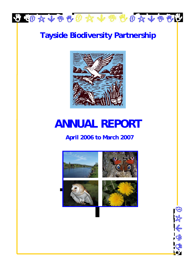

## **Tayside Biodiversity Partnership**



# **ANNUAL REPORT**

### **April 2006 to March 2007**



保养学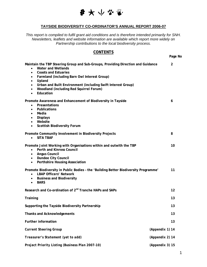

#### **TAYSIDE BIODIVERSITY CO-ORDINATOR'S ANNUAL REPORT 2006-07**

*This report is compiled to fulfil grant aid conditions and is therefore intended primarily for SNH. Newsletters, leaflets and website information are available which report more widely on Partnership contributions to the local biodiversity process.* 

#### **CONTENTS**

| Maintain the TBP Steering Group and Sub-Groups, Providing Direction and Guidance<br>Water and Wetlands<br>$\bullet$<br><b>Coasts and Estuaries</b><br>$\bullet$<br>Farmland (including Barn Owl Interest Group)<br>$\bullet$<br>Upland<br>$\bullet$<br>Urban and Built Environment (including Swift Interest Group)<br>$\bullet$<br>Woodland (including Red Squirrel Forum)<br>$\bullet$<br>Education<br>$\bullet$ |                 | $\overline{2}$    |
|--------------------------------------------------------------------------------------------------------------------------------------------------------------------------------------------------------------------------------------------------------------------------------------------------------------------------------------------------------------------------------------------------------------------|-----------------|-------------------|
| Promote Awareness and Enhancement of Biodiversity in Tayside<br>Presentations<br>$\bullet$<br>Publications<br>$\bullet$<br>Media<br>$\bullet$<br><b>Displays</b><br>$\bullet$<br>Website<br>$\bullet$<br><b>Scottish Biodiversity Forum</b><br>$\bullet$                                                                                                                                                           |                 | 6                 |
| Promote Community Involvement in Biodiversity Projects<br><b>SITA TBAF</b><br>$\bullet$                                                                                                                                                                                                                                                                                                                            |                 | 8                 |
| Promote Joint Working with Organisations within and outwith the TBP<br>Perth and Kinross Council<br>$\bullet$<br><b>Angus Council</b><br>$\bullet$<br><b>Dundee City Council</b><br>$\bullet$<br><b>Perthshire Housing Association</b><br>$\bullet$                                                                                                                                                                |                 | 10                |
| Promote Biodiversity in Public Bodies - the 'Building Better Biodiversity Programme'<br><b>LBAP Officers' Network</b><br>$\bullet$<br><b>Business and Biodiversity</b><br>$\bullet$<br><b>BARS</b><br>$\bullet$                                                                                                                                                                                                    |                 | 11                |
| Research and Co-ordination of 2 <sup>nd</sup> Tranche HAPs and SAPs                                                                                                                                                                                                                                                                                                                                                |                 | $12 \overline{ }$ |
| Training                                                                                                                                                                                                                                                                                                                                                                                                           |                 | 13                |
| Supporting the Tayside Biodiversity Partnership                                                                                                                                                                                                                                                                                                                                                                    |                 | 13                |
| <b>Thanks and Acknowledgements</b>                                                                                                                                                                                                                                                                                                                                                                                 |                 | 13                |
| <b>Further information</b>                                                                                                                                                                                                                                                                                                                                                                                         |                 | 13                |
| <b>Current Steering Group</b>                                                                                                                                                                                                                                                                                                                                                                                      | (Appendix 1) 14 |                   |
| Treasurer's Statement (yet to add)                                                                                                                                                                                                                                                                                                                                                                                 | (Appendix 2) 14 |                   |
| Project Priority Listing (Business Plan 2007-10)                                                                                                                                                                                                                                                                                                                                                                   | (Appendix 3) 15 |                   |

**Page No**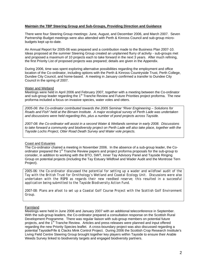#### **Maintain the TBP Steering Group and Sub-Groups, Providing Direction and Guidance**

There were four Steering Group meetings: June, August, and December 2006, and March 2007. Seven Partnership Budget meetings were also attended with Perth & Kinross Council and sub-group microbudgets kept up-to-date.

An Annual Report for 2005-06 was prepared and a contribution made to the Business Plan 2007-10. Ideas proposed at the summer Steering Group created an unplanned flurry of activity - sub-groups met and proposed a maximum of 10 projects each to take forward in the next 3 years. After much refining, the first Priority List of proposed projects was prepared; details are given in the Appendix.

During 2006, time was spent exploring alternative possibilities regarding the employment and office location of the Co-ordinator, including options with the Perth & Kinross Countryside Trust, Perth College, Dundee City Council, and home-based. A meeting in January confirmed a transfer to Dundee City Council in the spring of 2007.

#### Water and Wetland

Meetings were held in April 2006 and February 2007, together with a meeting between the Co-ordinator and sub-group leader regarding the 1<sup>st</sup> Tranche Review and Future Priorities project proforma. The new proforma included a focus on invasive species, water voles and otters.

*2005-06: the Co-ordinator contributed towards the 2005 Seminar "River Engineering – Solutions for Roads and Fish" held at the Birnam Institute. A major ecological survey of Perth Lade was undertaken and discussions were held regarding this, plus a number of pond projects across Tayside.* 

*2007-08: the Co-ordinator will assist in a second Water & Wetlands seminar in early 2008. Discussions to take forward a community and biodiversity project on Perth Lade will also take place, together with the Tayside Lochs Project, Otter Road Death Survey and Water vole projects.* 

#### Coast and Estuaries

The Co-ordinator chaired a meeting in November 2006. In the absence of a sub-group leader, the Coordinator prepared the 1<sup>st</sup> Tranche Review papers and project proforma proposals for the sub-group to consider, in addition to working with the BTO, SWT, Inner Tay Advisory Panel and Tayside Ringing Group on potential projects (including the Tay Estuary Wildfowl and Wader Audit and the Montrose Tern Project).

*2005-06: the Co-ordinator discussed the potential for setting up a wader and wildfowl audit of the Tay with the British Trust for Ornithology's Wetland and Coastal Ecology Unit. Discussions were also undertaken with the RSPB as regards their new reedbed reserve; this resulted in a successful application being submitted to the Tayside Biodiversity Action Fund.* 

*2007-08: Plans are afoot to set up a Coastal Golf Course Project with the Scottish Golf Environment Group.* 

#### Farmland

Meetings were held in June 2006 and January 2007 with an additional teleconference in September. With the sub-group leaders, the Co-ordinator prepared a consultation response on the Scottish Rural Development Programme. There was regular liaison with sub-group members on potential future projects, and the 1<sup>st</sup> Tranche Review. Articles and press releases were planned and input offered regarding the new Priority Species leaflet. A cross-boundary project was also discussed regarding a potential Tayside/Fife & Clacks Mink Control Project. During 2006 the Scottish Crop Research Institute's Living Field Centre Steering Group brought together key players within Tayside to ensure their Arable Weeds Survey linked to biodiversity targets and engaged biodiversity partners.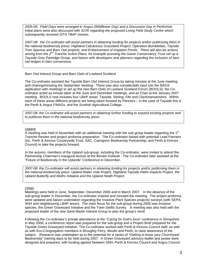*2005-06: Field Days were arranged in Angus (Wildflower Day) and a Discussion Day in Perthshire. Initial plans were also discussed with SCRI regarding the proposed Living Field Study Centre which subsequently received SITA TBAF monies.* 

*2007-08: the Co-ordinator will assist partners in obtaining funding for projects and/or publicising them in the national biodiversity press: Highland Calcareous Grassland Project, Operation Bumblebee, Tayside Tree Sparrow and Barn Owl projects, and Enhancement of Irrigation Ponds. There will also be actions arising from the 2nd Tranche Action Plans, for example assisting the Game Conservancy Trust set up a Tayside Grey Partridge Group, and liaison with developers and planners regarding the inclusion of barn owl ledges in barn conversions.* 

#### *Barn Owl Interest Group and Barn Owls of Lowland Scotland*

The Co-ordinator assisted the Tayside Barn Owl Interest Group by taking minutes at the June meeting and chairing/minuting the September meeting. There was also considerable input into the BAGS application with meetings to set up the new Barn Owls of Lowland Scotland Forum (BOOLS); the Coordinator acted as minute taker at the June and December meetings, and as Chair at the January 2007 meeting. BOOLS now includes four LBAP areas: Tayside, Stirling, Fife and Clackmannanshire. Within each of these areas different projects are being taken forward by Partners – in the case of Tayside this is the Perth & Angus FWAGs, and the Scottish Agricultural College.

*2007-08: the Co-ordinator will assist partners in obtaining further funding to expand existing projects and to publicise them in the national biodiversity press.* 

#### Upland

A meeting was held in November with an additional meeting with the sub-group leader regarding the  $1<sup>st</sup>$ Tranche Review and project proforma preparation. The Co-ordinator liaised with potential Lead Partners (inc. Perth & Kinross Countryside Trust, SAC, Cairngorm Biodiversity Partnership, and Perth & Kinross Council) to take the projects forward.

In the autumn, members of the Upland sub-group, including the Co-ordinator, were invited to attend the Partnership Chairman's inaugural lecture at the Birnam Institute. The Co-ordinator later assisted at the "Future of Biodiversity in the Uplands" Conference in December.

*2007-08: the Co-ordinator will assist partners in obtaining funding for projects and/or publicising them in the national biodiversity press: Upland Water Vole Project, Highland Tayside Paths Impacts Project, the Upland Butterfly and Moths Initiative and the Upland Heath Project.* 

#### Urban

Meetings were held in June, September, December 2006 and in March 2007. In the absence of the sub-group leader in December, the Co-ordinator chaired and minuted the meeting. The project proforma were updated and liaison undertaken regarding the Invasive Plant Species projects/ surveys (with SEPA, SNH and neighbouring LBAP areas). The main focus for the sub-group during 2006 was invasive species, the Green Graveyard Initiative and the Town Swifts Survey. A meeting was also held with the proposed leader of the new Sand Martin Interest Group to plan the group's remit.

Following the Co-ordinator's private attendance at the "Caring for God's Acre" conference in Shropshire in May 2006, a conference report was prepared for the sub-group and a Project Brief prepared for the Tayside Green Graveyard Initiative. The Co-ordinator worked with Perth & Kinross Council staff, as well as with Eco-Congregation members in Broughty Ferry, Moulin and Perth, to raise awareness of the subject. Research was undertaken as to the potential for a series of "Getting to know your Churchyard Biodiversity" training days to be held during 2007. A Green Graveyard advisory leaflet and poster were designed and prepared, with funding agreed between SNH, Perth & Kinross Council and Angus Council.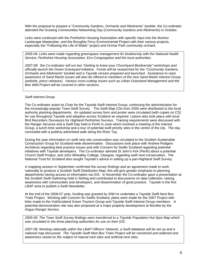With the proposal to prepare a "Community Gardens, Orchards and Allotments" booklet, the Co-ordinator attended the Growing Communities Networking Day (Community Gardens and Allotments) in October.

Links were continued with the Perthshire Housing Association with specific input into the Muirton Landscape Masterplan, and the Broughty Ferry Environmental Project with their various projects, especially the "Following the Life of Water" project and Orchar Park community orchard.

*2005-06: Links were made regarding greenspace management for biodiversity with the National Health Service, Perthshire Housing Association, Eco-Congregation and the local authorities.* 

*2007-08: the Co-ordinator will run two "Getting to know your Churchyard Biodiversity" workshops and officially launch the Green Graveyard Initiative. Funds will be researched for the "Community Gardens, Orchards and Allotments" booklet and a Tayside version prepared and launched. Assistance to raise awareness of Sand Martin issues will also be offered to members of the new Sand Martin Interest Group (website, press releases). Various cross-cutting issues such as Urban Grassland Management and the Bee Wild Project will be covered in other sections.* 

#### *Swift Interest Group*

The Co-ordinator acted as Chair for the Tayside Swift Interest Group, continuing the administration for the increasingly-popular Town Swift Survey. The Swift Map CDs from 2005 were distributed to the local authority planning departments. An updated survey form and poster were circulated (with copies on CD) for use throughout Tayside and adoption across Scotland as required. Liaison also took place with local Bird Recorders /Surveyors for Highland Perthshire Surveys. Training requirements were discussed with the Ranger Services and a Swift Day held in Perth in June which involved a meeting of the Interest Group, a lunch-time workshop and a tour of potential swift priority sites in the centre of the city. The day concluded with a publicly-advertised walk along the River Tay.

During the year information on swift nest site conservation was circulated to the Scottish Sustainable Construction Group for Scotland-wide dissemination. Discussions took place with Andrew Rodgers Architects regarding best practice issues and with Concern for Swifts Scotland regarding potential initiatives with Tayside developers. The Co-ordinator advised St John's Kirk (Perth) about a potential Church Swift Project, and John Wheatley College, Glasgow, regarding swift nest conservation. The National Trust for Scotland also sought Tayside's advice in setting up a pan-Highland Swift Survey.

A mapping session in September confirmed the survey findings and an agreement made to work nationally to produce a Scottish Swift Distribution Map; this will give greater emphasis to planning departments having access to information via GIS. In November the Co-ordinator gave a presentation at the Scottish Swift Gathering held in Stirling and contributed to discussions on data collection, raising awareness with communities and developers, and dissemination of good practice. Tayside is the first LBAP area to publish a Swift Newsletter.

At the end of the 2006-07 year, funding was granted by SNH to undertake a Tayside Swift Nest Box Trials Project. Working with Concern for Swifts Scotland, plans were made for the 2007 Project with links made to the VisitScotland Green Tourism Group and Tayside Swift Interest Group members. A potential demonstration site was also proposed at a major property development at Monikie by the Angus Ranger Service.

*2005-06: The Town Swift Survey findings were transferred to a Tayside Population Hot-Spot Map which was circulated to the three planning authorities for use on their GIS.* 

*2007-08: Working nationally within the LBAP Officers' Network, a Swift database will be set up and a national map discussed. The Tayside Swift Nest Box Trials Project will be monitored and widened and awareness raised on the subject of natural nest sites and artificial nest sites.*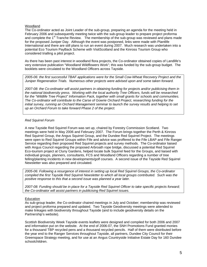#### Woodland

The Co-ordinator acted as Joint Leader of the sub-group, preparing an agenda for the meeting held in February 2006 and subsequently meeting twice with the sub-group leader to prepare project proforma and complete the 1<sup>st</sup> Tranche Review. The membership of the sub-group was reviewed and plans made for the proposed Juniper Day. Although the event was postponed, links were made with Plantlife International and there are still plans to run an event during 2007. Much research was undertaken into a potential Eco Tourism PayBack Scheme with VisitScotland and the Kinross Tourism Group who considered trialling a pilot project.

As there has been past interest in woodland flora projects, the Co-ordinator obtained copies of Landlife's very extensive publication "Woodland Wildflowers Work"; this was funded by the sub-group budget. The booklets were circulated to the Woodland Officers across Tayside.

*2005-06: the first successful TBAF applications were for the Small Cow-Wheat Recovery Project and the Juniper Regeneration Trials. Numerous other projects were advised upon and some taken forward.* 

*2007-08: the Co-ordinator will assist partners in obtaining funding for projects and/or publicising them in the national biodiversity press. Working with the local authority Tree Officers, funds will be researched for the "Wildlife Tree Project" Information Pack, together with small grants for schools and communities. The Co-ordinator will contribute to the Carse of Gowrie Orchard Project, researching funding for the initial survey, running an Orchard Management seminar to launch the survey results and helping to set up an Orchard Forum to take forward Phase 2 of the project.* 

#### *Red Squirrel Forum*

A new Tayside Red Squirrel Forum was set up, chaired by Forestry Commission Scotland. Two meetings were held in May 2006 and February 2007. The Forum brings together the Perth & Kinross Red Squirrel Group, the Angus Squirrel Group, and the Dundee Red Squirrel Project. The meetings were open to Red Squirrel Groups within Fife and advice was proffered to the Fife LBAP and Fife Ranger Service regarding their proposed Red Squirrel projects and survey methods. The Co-ordinator liaised with Angus Council regarding the proposed Arbroath rope bridge, discussed a potential Red Squirrel Eco-tourism project at Cluny Gardens, helped locate bulk Squirrel feed for the Groups, and liaised with individual groups, planners, consultants, FCS and Woodland Officers regarding a number of tree felling/planting incidents in new developments/golf courses. A second issue of the Tayside Red Squirrel Newsletter was also prepared and circulated.

*2005-06: Following a resurgence of interest in setting up local Red Squirrel Groups, the Co-ordinator compiled the first Tayside Red Squirrel Newsletter to which all local groups contributed. Such was the positive response to this that a second issue was planned a year later.* 

*2007-08: Funding should be in place for a Tayside Red Squirrel Officer to take specific projects forward; the Co-ordinator will assist partners in publicising Red Squirrel issues.* 

#### **Education**

As sub-group leader, the Co-ordinator chaired meetings in July and October; membership was reviewed and project proforma prepared and updated. Two Tayside Geodiversity meetings were attended to make linkages with biodiversity throughout Tayside (and to include geodiversity details on the Partnership's website).

Scottish Biodiversity Week Tayside events leaflets were designed and compiled for both 2006 and 2007 and information put on the website. At the end of 2006-07, the SNH Promotions Fund granted monies for a thousand TBP recycled pens and a thousand recycled pencils. Half of them were distributed before the year end to the Ranger Services throughout Tayside, all partners, Dundee City Council for their Greenspace Strategy meeting, and for use at an Angus Countryside Initiative Estate Day for 160 Dundee schoolchildren.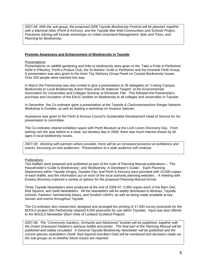*2007-08: With the sub-group, the proposed 2008 Tayside Biodiversity Festival will be planned, together with a Mammal Atlas (Perth & Kinross), and the Tayside Bee Wild Communities and Schools Project. Practioner training will include workshops on Urban Grassland Management, Bats and Trees, and Planning for Biodiversity.* 

#### **Promote Awareness and Enhancement of Biodiversity in Tayside**

#### **Presentations**

Presentations on wildlife gardening and links to biodiversity were given to the 'Take a Pride in Perthshire' AGM in Pitlochry; Perth's Probus Club, the St Martins' Guild in Perthshire and the Innerlink Perth Group. A presentation was also given to the Inner Tay Advisory Group Panel on Coastal Biodiversity Issues. Over 200 people were reached this way.

In March the Partnership was also invited to give a presentation to 35 delegates on "Linking Campus Biodiversity to Local Biodiversity Action Plans and UK National Targets" at the Environmental Association for Universities and Colleges Seminar at Elmwood, Fife. This followed the Partnership's purchase and circulation of the EAUC booklet on Biodiversity to all colleges and universities in Tayside.

In December, the Co-ordinator gave a presentation at the Tayside & Clackmannanshire Ranger Network Workshop in Dundee, as well as leading a workshop on Invasive Species.

Assistance was given to the Perth & Kinross Council's Sustainable Development Head of Service for his presentation to committee.

The Co-ordinator shared exhibition space with Perth Museum at the Loch Leven Discovery Day. From lashing rain the year before to a clear, but blustery day in 2006, there was much interest shown by all ages in local biodiversity issues.

*2007-08: Working with partners where possible, there will be an increased presence at exhibitions and events, focussing on new audiences. Presentations to a wide audience will continue.* 

#### Publications

Two leaflets were prepared and published as part of the suite of Planning Manual publications – 'The Householder's Guide to Biodiversity'; and 'Biodiversity: A Developer's Guide'. Each Planning Department within Tayside (Angus, Dundee City, and Perth & Kinross) were provided with 10,000 copies of each leaflet, and the information put on each of the local authority planning websites. A meeting with Exodus (Kinross) explored a variety of options for the proposed Planning Manual format.

Three Tayside Newsletters were produced at the end of 2006-07: 5,000 copies each of the Barn Owl, Red Squirrel, and Swift Newsletters. All the newsletters will be widely distributed to libraries, Tayside schools, Partners' membership bases, and Scottish LBAPs, as well as being made available at key venues and events throughout Tayside.

The Co-ordinator also researched, designed and arranged the printing of 17,000 survey postcards for the BOOLS project (the Partnership retained 8,000 postcards for use within Tayside). Input was also offered to the BOOLS Newsletter (Barn Owls of Lowland Scotland Project).

*2007-08: The "Community Gardens, Orchards and Allotments" booklet will be published, together with the Green Graveyard Initiative's advisory leaflet and poster. The final part of the Planning Manual will be published and widely circulated. A General Tayside Biodiversity Newsletter will be published and the current species newsletters (Swift, Red Squirrel and Barn Owl) will be monitored and decisions made via the sub-groups as to whether future issues are required.*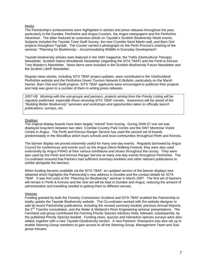#### Media

The Partnership's achievements were highlighted in articles and press releases throughout the year, particularly in the Dundee, Perthshire and Angus Couriers, the Angus newspapers and the Perthshire Advertiser. The latter featured an extensive article on Tayside's Scottish Biodiversity Week events. Subjects included the Tayside Town Swift Survey, the new Crombie Sand Martin wall, and Barn Owl projects throughout Tayside. The Courier carried a photograph on the Perth Provost's chairing of the seminar: "Planning for Biodiversity – Accommodating Wildlife in Everyday Development".

Tayside biodiversity articles were featured in the SNH magazine, the Trellis (Horticultural Therapy) Newsletter, Scottish Native Woodlands Newsletter (regarding the SITA TBAF) and the Perth & Kinross Tree Warden's Newsletter. News items were included in the Scottish Biodiversity Forum Newsletter and the Scottish LBAP Newsletter.

Regular news stories, including SITA TBAF project updates, were contributed to the VisitScotland Perthshire website and the Perthshire Green Tourism Network E-Bulletin, particularly on the Marsh Harrier, Barn Owl and Swift projects. SITA TBAF applicants were encouraged to publicise their projects and help was given to a number of them in writing press releases.

*2007-08: Working with the sub-groups and partners, projects arising from the Priority Listing will be regularly publicised, especially those receiving SITA TBAF monies. Awareness will be raised of the "Building Better Biodiversity" seminars and workshops and opportunities taken to officially launch publications, surveys, etc.* 

#### **Displays**

The original display boards have been largely "retired" from touring. During 2006-07 one set was displayed long-term between two sites: Crombie Country Park Centre and the SWT Montrose Visitor Centre in Angus. The Perth and Kinross Ranger Service has used the second set of boards predominately in the WoodBus which tours schools and local communities throughout Perth and Kinross.

The banner display set proved extremely useful for many one-day events. Regularly borrowed by Angus Council for conferences and events such as the Angus Glens Walking Festival, they were also used extensively by Angus FWAG at their various exhibitions and shows throughout the county. They were also used by the Perth and Kinross Ranger Service at many one-day events throughout Perthshire. The Co-ordinator ensured that Partners had sufficient summary booklets and other relevant publications to exhibit alongside the banners.

When funding became available via the SITA TBAF, an updated version of the banner displays was obtained which highlights the Partnership's new address in Dundee and the contact details for SITA TBAF. It was first used at the "Planning for Biodiversity" seminar in March 2007. The first set of banners will remain in Perth & Kinross and the new set will be kept in Dundee and Angus, reducing the amount of administration and travelling needed in getting them to different venues.

#### Website

Funding granted by both the Forestry Commission Scotland and SITA TBAF enabled the Partnership to totally update the Tayside Biodiversity website. The Co-ordinator worked with the website designer to add all recent Partnership publications, including the revised summary booklet, previous Annual Reports, the 2<sup>nd</sup> Tranche consultation, and the Water & Wetland's River Engineering seminar presentations. The Farmland sub-group contributed the Farming Priority Species Advisory Note, followed, subsequently, by the published Priority Species booklet. Funding news, quizzes and interactive species surveys were also added, together with a new Tayside Geodiversity section. A new Partners' Sharepoint was also set up to enable Steering Group members to gain access to all the Steering Group, Management Team and Subgroup minutes.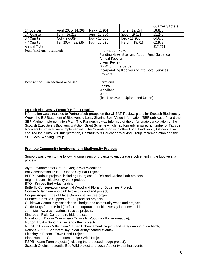|                                     |                    |                                                                                |                                                                                                                                                                                                         |                | Quarterly totals: |
|-------------------------------------|--------------------|--------------------------------------------------------------------------------|---------------------------------------------------------------------------------------------------------------------------------------------------------------------------------------------------------|----------------|-------------------|
| 1 <sup>st</sup> Quarter             | April 2006- 14,208 |                                                                                | May - 11,961                                                                                                                                                                                            | June - 12,654  | 38,823            |
| 2 <sup>nd</sup> Quarter             | July - 16,219      |                                                                                | Aug - 15,900                                                                                                                                                                                            | Sept - 19,121  | 51,240            |
| $\overline{3^{rd}}$ Quarter         | Oct - 27,009       |                                                                                | Nov - 18,686                                                                                                                                                                                            | Dec - 18,980   | 64.675            |
| 4™ Quarter                          | Jan 2007 - 23,236  |                                                                                | Feb - 20,021                                                                                                                                                                                            | March - 19,716 | 62.973            |
| Annual Total:                       |                    |                                                                                |                                                                                                                                                                                                         |                | 217,711           |
| Most 'sections' accessed:           |                    |                                                                                | <b>Information News</b><br>Funding Newsletter and Action Fund Guidance<br><b>Annual Reports</b><br>3 year Review<br>Go Wild in the Garden<br>Incorporating Biodiversity into Local Services<br>Projects |                |                   |
| Most Action Plan sections accessed: |                    | Farmland<br>Coastal<br>Woodland<br>Water<br>(least accessed: Upland and Urban) |                                                                                                                                                                                                         |                |                   |

#### Scottish Biodiversity Forum (SBF) Information

Information was circulated to Partners/sub-groups on the UKBAP Review, plans for Scottish Biodiversity Week, the EU Statement of Biodiversity Loss, Sharing Best Value information (SBF publication), and the SBF Marine Implementation Plan. The Partnership was informed of the unfortunate cancellation of the Scottish Executive's Biodiversity Action Grant Scheme which had formerly ensured a number of Tayside biodiversity projects were implemented. The Co-ordinator, with other Local Biodiversity Officers, also ensured input into SBF Interpretation, Community & Education Working Group implementation and the SBF Local Working Group.

#### **Promote Community Involvement in Biodiversity Projects**

Support was given to the following organisers of projects to encourage involvement in the biodiversity process:

Alyth Environmental Group - Meigle Wet Woodland; Bat Conservation Trust - Dundee City Bat Project; BFEP – various projects, including Hourglass, FLOW and Orchar Park projects; Brig in Bloom - biodiversity bank project; BTO - Kinross Bird Atlas funding; Butterfly Conservation - potential Woodland Flora for Butterflies Project; Comrie Millennium Footpath Project - woodland project; Coupar Angus Pride of Place Group - native tree project; Dundee Intensive Support Group - practical projects; Guildtown Community Association - hedge and community woodland projects; Guide Dogs for the Blind (Forfar) - incorporation of biodiversity into new build; John Muir Awards – various Tayside projects; Kindrogan Field Centre - bird hide project; Milnathort in Bloom Committee - Tillywally Wood (wildflower meadow); Murton Trust – Sand martins and other projects; Muthill in Bloom - Millennium Garden Enhancement Project (and safeguarding of orchard); National (PKC) Bookstart Day (biodiversity themed events); Pitlochry in Bloom - Town Pond Project; Plant Hunters' Garden - potential 'Bee Wild' Project. RSPB - Vane Farm projects (including the proposed hedge project); Scottish Origins - potential Bee Wild project and Local Authority training events;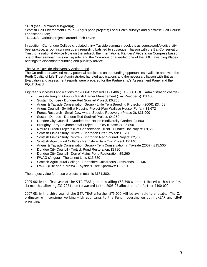#### SCRI (see Farmland sub-group);

Scottish Golf Environment Group - Angus pond projects; Local Patch surveys and Montrose Golf Course Landscape Plan;

TRACKS - various projects around Loch Leven.

In addition, Cambridge College circulated thirty Tayside summary booklets as coursework/biodiversity best practice; a roof insulation query regarding bats led to subsequent liaison with the Bat Conservation Trust for a national Advice Note on the subject; the International Rangers' Federation Congress based one of their seminar visits on Tayside; and the Co-ordinator attended one of the BBC Breathing Places briefings to disseminate funding and publicity advice.

#### The SITA Tayside Biodiversity Action Fund

The Co-ordinator advised many potential applicants on the funding opportunities available and, with the Perth Quality of Life Trust Administrator, handled applications and the necessary liaison with Entrust. Evaluation and assessment reports were prepared for the Partnership's Assessment Panel and the PQLT Board.

Eighteen successful applications for 2006-07 totalled £121,406 (+ £5,000 PQLT Administration charge):

- Tayside Ringing Group Marsh Harrier Management (Tay Reedbeds): £3,400
- Sustain Dundee Dundee Red Squirrel Project: £6,250
- Angus & Tayside Conservation Group Little Tern Breeding Protection (2006): £3,468
- Angus Council Swift/Bat Housing Project (Wm Wallace House, Forfar): £1,672
- Forest Research Small Cow-wheat Species Recovery (Phase 2): £11,900
- Sustain Dundee Dundee Red Squirrel Project: £4,250
- Dundee City Council Dundee Eco-House Biodiversity Garden: £4,500
- Broughty Ferry Environmental Project FLOW (Phase 2): £6,890
- Nature Bureau Projects (Bat Conservation Trust) Dundee Bat Project: £9,660
- Scottish Fields Study Centre Kindrogan Otter Project: £1,700
- Scottish Fields Study Centre Kindrogan Red Squirrel Project: £2,700
- Scottish Agricultural College Perthshire Barn Owl Project: £2,140
- Angus & Tayside Conservation Group Tern Conservation in Tayside (2007): £15,500
- Dundee City Council Trottick Pond Restoration: £3790
- Dundee City Council Den o' Mains Pond Restoration: £5,260
- FWAG (Angus) The Linnet Link: £13,530
- Scottish Agricultural College Perthshire Calcareous Grasslands: £8,146
- FWAG (Fife and Kinross) Tayside's Tree Sparrows: £16,650

The project value for these projects, in total, is £181,300.

*2005-06: in the first year of the SITA TBAF grants totalling £68,798 were distributed within the first six months, allowing £31,202 to be forwarded to the 2006-07 allocation of a further £100,000.* 

*2007-08: in the third year of the SITA TBAF a further £75,000 will be available to allocate. The Coordinator will continue working with applicants to the Fund, focussing on both UKBAP and LBAP priorities.*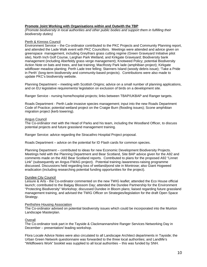#### **Promote Joint Working with Organisations within and Outwith the TBP**

*(Promote biodiversity in local authorities and other public bodies and support them in fulfilling their biodiversity duties)* 

#### Perth & Kinross Council

Environment Service – the Co-ordinator contributed to the PKC Projects and Community Planning report, and attended the Lade Walk event with PKC Councillors. Meetings were attended and advice given on greenspace management, including Greyfriars grass cutting regime (Green Graveyard Initiative pilot site), North Inch Golf Course, Larghan Park Wetland, and Kirkgate Graveyard; Biodiversity bank management (including Aberfeldy grass verge management); Knotweed Policy; potential Biodiversity Action Note on bats and trees, and bat training; MacRosty Park lade (amphibian project); Kirkgate wildflower meadow planting; Perth Lade tree felling; Stanners Island (woody debris issue); 'Take a Pride in Perth' (long-term biodiversity and community-based projects). Contributions were also made to update PKC's biodiversity website.

Planning Department – meeting with Scottish Origins; advice on a small number of planning applications, and on EU legislative requirements/ legislation on exclusion of birds on a development site.

Ranger Service - nursing home/hospital projects; links between TBAP/UKBAP and Ranger targets.

Roads Department - Perth Lade invasive species management; input into the new Roads Department Code of Practice; potential wetland project on the Craigie Burn (flooding issues); Scone amphibian migration project (kerb lowering).

#### Angus Council

The Co-ordinator met with the Head of Parks and his team, including the Woodland Officer, to discuss potential projects and future grassland management training.

Ranger Service: advice regarding the Stracathro Hospital Project proposal.

Roads Department – advice on the potential for ID Flash cards for common species.

Planning Department – contributed to ideas for new Economic Development Biodiversity Projects. Meetings held with the Planning Department and Bear Scotland, Site BAP advice given for the A92 and comments made on the A92 Bear Scotland reports. Contributed to plans for the proposed A92 "Linnet Link" (subsequently an Angus FWAG project). Potential training /awareness-raising programme discussed. Discussions held regarding loss of wetland/pond site in Montrose; also Giant Hogweed eradication (including researching potential funding opportunities for the project).

#### Dundee City Council

Leisure & Arts - the Co-ordinator commented on the new TWIG leaflet; attended the Eco House official launch; contributed to the Balgay Blossom Day; attended the Dundee Partnership for the Environment "Protecting Biodiversity" Workshop; discussed Dundee in Bloom plans; liaised regarding future grassland management training, and advised the TWIG Officer on Strategies/legislation for the draft Open Space Strategy.

#### Perthshire Housing Association

The Co-ordinator advised on potential biodiversity issues which could be incorporated into the Muirton Landscape Masterplan.

#### **Overall**

The Co-ordinator took part in the Tayside & Clackmannanshire Ranger Services Networking Day in December – presentation/ leading workshop.

Flora Locale Advice Notes were also circulated to all Landscape Architect departments in Tayside; the Urban Green Network questionnaire was forwarded to the three local authorities; and Landlife's "Wildflowers Work" booklet was supplied to all local authorities – this was funded by SNH.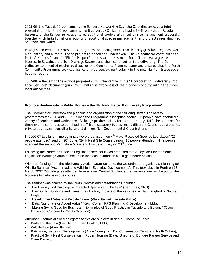*2005-06: the Tayside/Clackmannanshire Rangers' Networking Day: the Co-ordinator gave a joint presentation with the Clackmannanshire Biodiversity Officer and lead a Swift Workshop. Regular liaison with the Ranger Services ensured additional biodiversity input on site management proposals, together with links to national publicity, additional species management, and projects regarding Red Squirrels and Swifts.* 

*In Angus and Perth & Kinross Councils, greenspace management (particularly grassland regimes) were highlighted, and numerous pond projects planned and undertaken. The Co-ordinator contributed to Perth & Kinross Council's "Fit for Purpose" open spaces assessment form. There was a greater interest in Sustainable Urban Drainage Systems and their contribution to biodiversity. The Coordinator commented on the local authority's Community Planning paper and ensured that the Perth Community Programme took cognisance of biodiversity, particularly in the new Muirton Estate social housing rebuild.* 

*2007-08: A Review of the actions proposed within the Partnership's "Incorporating Biodiversity into Local Services" document (pub. 2002) will raise awareness of the biodiversity duty within the three local authorities.* 

#### **Promote Biodiversity in Public Bodies – the 'Building Better Biodiversity Programme'**

The Co-ordinator undertook the planning and organisation of the 'Building Better Biodiversity' programmes for 2006 and 2007. Since the Programme's inception nearly 500 people have attended a variety of seminars and workshops. Although predominately for local authority staff, the audience for these events continues to be mixed: staff from statutory bodies, many different Council departments, private businesses, consultants, and staff from Non-Governmental Organisations.

In 2006-07 two lunch-time seminars were organised – on  $4<sup>th</sup>$  May: 'Protected Species Legislation' (23 people attended); and on 20<sup>th</sup> June: 'Swift Nest Site Conservation' (15 people attended). Nine people .<br>attended the second Perthshire Grassland Discussion Day on 23<sup>rd</sup> June.

Following the Protected Species Legislation seminar it was proposed that a Tayside Environmental Legislation Working Group be set up so that local authorities could gain better advice.

With part-funding from the Biodiversity Action Grant Scheme, the Co-ordinator organised a Planning for Wildlife Seminar: 'Accommodating Wildlife in Everyday Developments'. This took place in Perth on 13<sup>th</sup> March 2007 (60 delegates attended from all over Central Scotland); the presentations will be put on the biodiversity website in due course.

The seminar was chaired by the Perth Provost and presentations included:

- "Biodiversity and Buildings Protected Species and the Law" (Ben Ross, SNH);
- "Barn Owls, Buildings and Trees" (Les Hatton, in place of the key speaker, Ian Langford of Natural England);
- "Development Sites and Wildlife Crime" (Alan Stewart, Tayside Police);
- "Bats: Nightmare or Added Value" (Keith Cohen, RPS Planning & Development Ltd.);
- "Making Swifts Good for Business Examples of Good Practice in Tayside and Beyond" (Clare Darlaston, Concern for Swifts Scotland).

Afternoon tutorials allowed delegates to explore subjects in depth. These included:

- Birds and the Law (Les Hatton, Eden Ecology Ltd.);
- Wildlife Law (Alan Stewart);
- Bats Key Issues in Developments (Anne Youngman, Bat Conservation Trust, and Keith Cohen);
- Practical Swift Nest Conservation in Public Housing (David Shepherd, Dundee Ranger Service and Clare Darlaston).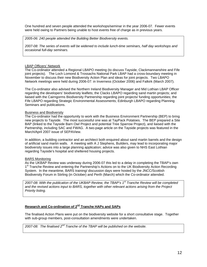One hundred and seven people attended the workshops/seminar in the year 2006-07. Fewer events were held owing to Partners being unable to host events free of charge as in previous years.

#### *2005-06: 240 people attended the Building Better Biodiversity events.*

*2007-08: The series of events will be widened to include lunch-time seminars, half day workshops and occasional full-day seminars.* 

#### LBAP Officers' Network

The Co-ordinator attended a Regional LBAPO meeting (to discuss Tayside, Clackmannanshire and Fife joint projects). The Loch Lomond & Trossachs National Park LBAP had a cross-boundary meeting in November to discuss their new Biodiversity Action Plan and ideas for joint projects. Two LBAPO Network meetings were held during 2006-07: in Inverness (October 2006) and Falkirk (March 2007).

The Co-ordinator also advised the Northern Ireland Biodiversity Manager and Mid Lothian LBAP Officer regarding the developers' biodiversity leaflets; the Clacks LBAPO regarding sand martin projects; and liaised with the Cairngorms Biodiversity Partnership regarding joint projects/ funding opportunities; the Fife LBAPO regarding Strategic Environmental Assessments; Edinburgh LBAPO regarding Planning Seminars and publications.

#### Business and Biodiversity

The Co-ordinator had the opportunity to work with the Business Environment Partnership (BEP) to bring new projects to Tayside. The most successful one was at TayPack Potatoes. The BEP prepared a Site BAP (linked to the Tayside Barn Owl Project and potential Tree Sparrow Project), and liaised with the Partnership, including SAC and FWAG. A two-page article on the Tayside projects was featured in the March/April 2007 issue of SEPAView.

In addition, a building contractor and an architect both enquired about sand martin barrels and the design of artificial sand martin walls. A meeting with A J Stephens, Builders, may lead to incorporating major biodiversity issues into a large planning application; advice was also given to NHS East Lothian regarding Tayside's hospital and sheltered housing projects.

#### BARS Monitoring

As the UKBAP Review was underway during 2006-07 this led to a delay in completing the TBAP's own 1<sup>st</sup> Tranche Review and entering the Partnership's Actions on to the UK Biodiversity Action Recording System. In the meantime, BARS training/ discussion days were hosted by the JNCC/Scottish Biodiversity Forum in Stirling (in October) and Perth (March) which the Co-ordinator attended.

*2007-08: With the publication of the UKBAP Review, the TBAP's 1st Tranche Review will be completed and the revised actions input to BARS, together with other relevant actions arising from the Project Priority listing.* 

#### **Research and Co-ordination of 2nd Tranche HAPs and SAPs**

The finalised Action Plans were put on the biodiversity website for a short consultative stage. Together with sub-group members, post-consultation amendments were undertaken.

*2007-08: The finalised 2nd Tranche of the TBAP will be published on the website.*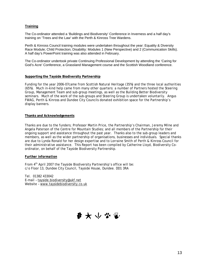#### **Training**

The Co-ordinator attended a 'Buildings and Biodiversity' Conference in Inverness and a half day's training on 'Trees and the Law' with the Perth & Kinross Tree Wardens.

Perth & Kinross Council training modules were undertaken throughout the year: Equality & Diversity Race Module; Child Protection; Disability: Modules 1 (New Perspective) and 2 (Communication Skills). A half day's PowerPoint training was also attended in February.

The Co-ordinator undertook private Continuing Professional Development by attending the 'Caring for God's Acre' Conference, a Grassland Management course and the Scottish Woodland conference.

#### **Supporting the Tayside Biodiversity Partnership**

Funding for the year 2006-07came from Scottish Natural Heritage (35%) and the three local authorities (65%). Much in-kind help came from many other quarters: a number of Partners hosted the Steering Group, Management Team and sub-group meetings, as well as the Building Better Biodiversity seminars. Much of the work of the sub-groups and Steering Group is undertaken voluntarily. Angus FWAG, Perth & Kinross and Dundee City Councils donated exhibition space for the Partnership's display banners.

#### **Thanks and Acknowledgements**

Thanks are due to the funders; Professor Martin Price, the Partnership's Chairman, Jeremy Milne and Angela Paterson of the Centre for Mountain Studies; and all members of the Partnership for their ongoing support and assistance throughout the past year. Thanks also to the sub-group leaders and members, as well as the wider partnership of organisations, businesses and individuals. Special thanks are due to Lynda Ronald for her design expertise and to Lorraine Smith of Perth & Kinross Council for their administrative assistance. This Report has been compiled by Catherine Lloyd, Biodiversity Coordinator, on behalf of the Tayside Biodiversity Partnership.

#### *Further information*

From  $4<sup>th</sup>$  April 2007 the Tayside Biodiversity Partnership's office will be: c/o Floor 13, Dundee City Council, Tayside House, Dundee. DD1 3RA

Tel. 01382 433042 E-mail – [tayside.biodiversity@ukf.net](mailto:tayside.biodiversity@ukf.net) Website – [www.taysidebiodiversity.co.uk](http://www.taysidebiodiversity.co.uk/) 

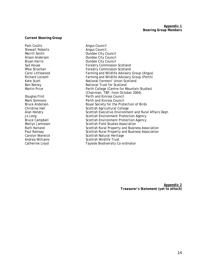#### **Current Steering Group**

Stewart Roberts **Angus Council** 

Pam Coutts **Angus Council** Merrill Smith **Dundee City Council** Alison Anderson **Dundee City Council** Bryan Harris **Dundee City Council** Syd House **Forestry Commission Scotland**<br>Mike Strachan **Forestry Commission Scotland** Forestry Commission Scotland Carol Littlewood Farming and Wildlife Advisory Group (Angus) Richard Lockett Farming and Wildlife Advisory Group (Perth) Kate Scott **National Farmers' Union Scotland** Ben Notley National Trust for Scotland Martin Price **Perth College (Centre for Mountain Studies)** (Chairman, TBP, from October 2004)<br>Perth and Kinross Council Douglas Flint **Perth and Kinross Council**<br>Mark Simmons **Perth and Kinross Council** Perth and Kinross Council Bruce Anderson **Bruce Anderson** Royal Society for the Protection of Birds<br>Christine Hall **Royal Society Scottish Agricultural College** Scottish Agricultural College Alan Hendry Scottish Executive Environment and Rural Affairs Dept. Jo Long **Scottish Environment Protection Agency** Bruce Campbell **Scottish Environment Protection Agency** Martyn Jamieson **Scottish Field Studies Association**<br>Ruth Harland **Scottish Rural Property and Busin** Scottish Rural Property and Business Association Paul Ramsay **Scottish Rural Property and Business Association**<br>Carolyn Warwick **Scottish Natural Heritage** Scottish Natural Heritage Andrea Williams **Scottish Wildlife Trust** Catherine Lloyd Tayside Biodiversity Co-ordinator

> *Appendix 2 Treasurer's Statement (yet to attach)*